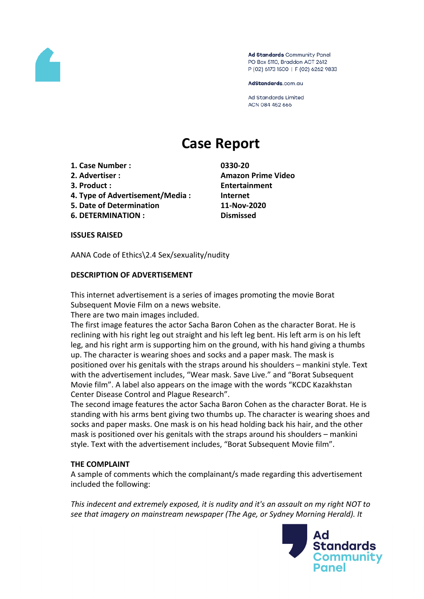

Ad Standards Community Panel PO Box 5110, Braddon ACT 2612 P (02) 6173 1500 | F (02) 6262 9833

AdStandards.com.au

**Ad Standards Limited** ACN 084 452 666

# **Case Report**

- **1. Case Number : 0330-20**
- 
- 
- **4. Type of Advertisement/Media : Internet**
- **5. Date of Determination 11-Nov-2020**
- **6. DETERMINATION : Dismissed**

**2. Advertiser : Amazon Prime Video 3. Product : Entertainment**

**ISSUES RAISED**

AANA Code of Ethics\2.4 Sex/sexuality/nudity

## **DESCRIPTION OF ADVERTISEMENT**

This internet advertisement is a series of images promoting the movie Borat Subsequent Movie Film on a news website.

There are two main images included.

The first image features the actor Sacha Baron Cohen as the character Borat. He is reclining with his right leg out straight and his left leg bent. His left arm is on his left leg, and his right arm is supporting him on the ground, with his hand giving a thumbs up. The character is wearing shoes and socks and a paper mask. The mask is positioned over his genitals with the straps around his shoulders – mankini style. Text with the advertisement includes, "Wear mask. Save Live." and "Borat Subsequent Movie film". A label also appears on the image with the words "KCDC Kazakhstan Center Disease Control and Plague Research".

The second image features the actor Sacha Baron Cohen as the character Borat. He is standing with his arms bent giving two thumbs up. The character is wearing shoes and socks and paper masks. One mask is on his head holding back his hair, and the other mask is positioned over his genitals with the straps around his shoulders – mankini style. Text with the advertisement includes, "Borat Subsequent Movie film".

#### **THE COMPLAINT**

A sample of comments which the complainant/s made regarding this advertisement included the following:

*This indecent and extremely exposed, it is nudity and it's an assault on my right NOT to see that imagery on mainstream newspaper (The Age, or Sydney Morning Herald). It*

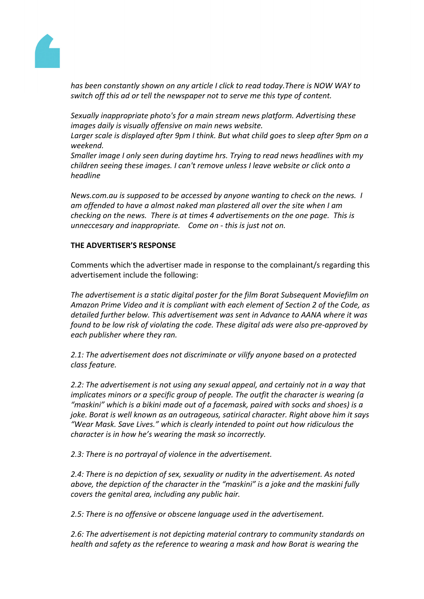

*has been constantly shown on any article I click to read today.There is NOW WAY to switch off this ad or tell the newspaper not to serve me this type of content.*

*Sexually inappropriate photo's for a main stream news platform. Advertising these images daily is visually offensive on main news website.*

*Larger scale is displayed after 9pm I think. But what child goes to sleep after 9pm on a weekend.*

*Smaller image I only seen during daytime hrs. Trying to read news headlines with my children seeing these images. I can't remove unless I leave website or click onto a headline*

*News.com.au is supposed to be accessed by anyone wanting to check on the news. I am offended to have a almost naked man plastered all over the site when I am checking on the news. There is at times 4 advertisements on the one page. This is unneccesary and inappropriate. Come on - this is just not on.*

## **THE ADVERTISER'S RESPONSE**

Comments which the advertiser made in response to the complainant/s regarding this advertisement include the following:

*The advertisement is a static digital poster for the film Borat Subsequent Moviefilm on Amazon Prime Video and it is compliant with each element of Section 2 of the Code, as detailed further below. This advertisement was sent in Advance to AANA where it was found to be low risk of violating the code. These digital ads were also pre-approved by each publisher where they ran.*

*2.1: The advertisement does not discriminate or vilify anyone based on a protected class feature.*

*2.2: The advertisement is not using any sexual appeal, and certainly not in a way that implicates minors or a specific group of people. The outfit the character is wearing (a "maskini" which is a bikini made out of a facemask, paired with socks and shoes) is a joke. Borat is well known as an outrageous, satirical character. Right above him it says "Wear Mask. Save Lives." which is clearly intended to point out how ridiculous the character is in how he's wearing the mask so incorrectly.*

*2.3: There is no portrayal of violence in the advertisement.* 

*2.4: There is no depiction of sex, sexuality or nudity in the advertisement. As noted above, the depiction of the character in the "maskini" is a joke and the maskini fully covers the genital area, including any public hair.* 

*2.5: There is no offensive or obscene language used in the advertisement.*

*2.6: The advertisement is not depicting material contrary to community standards on health and safety as the reference to wearing a mask and how Borat is wearing the*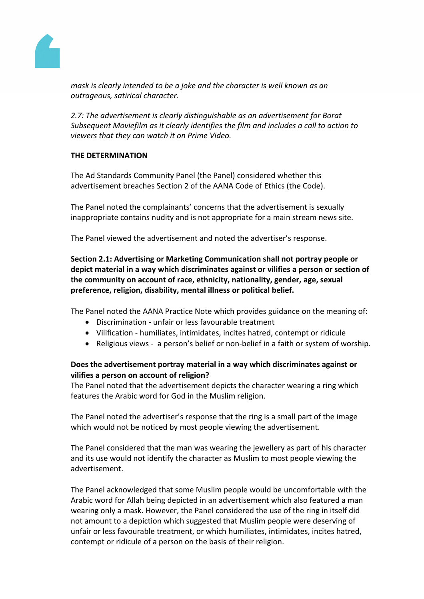

*mask is clearly intended to be a joke and the character is well known as an outrageous, satirical character.*

*2.7: The advertisement is clearly distinguishable as an advertisement for Borat Subsequent Moviefilm as it clearly identifies the film and includes a call to action to viewers that they can watch it on Prime Video.*

## **THE DETERMINATION**

The Ad Standards Community Panel (the Panel) considered whether this advertisement breaches Section 2 of the AANA Code of Ethics (the Code).

The Panel noted the complainants' concerns that the advertisement is sexually inappropriate contains nudity and is not appropriate for a main stream news site.

The Panel viewed the advertisement and noted the advertiser's response.

# **Section 2.1: Advertising or Marketing Communication shall not portray people or depict material in a way which discriminates against or vilifies a person or section of the community on account of race, ethnicity, nationality, gender, age, sexual preference, religion, disability, mental illness or political belief.**

The Panel noted the AANA Practice Note which provides guidance on the meaning of:

- Discrimination unfair or less favourable treatment
- Vilification humiliates, intimidates, incites hatred, contempt or ridicule
- Religious views a person's belief or non-belief in a faith or system of worship.

## **Does the advertisement portray material in a way which discriminates against or vilifies a person on account of religion?**

The Panel noted that the advertisement depicts the character wearing a ring which features the Arabic word for God in the Muslim religion.

The Panel noted the advertiser's response that the ring is a small part of the image which would not be noticed by most people viewing the advertisement.

The Panel considered that the man was wearing the jewellery as part of his character and its use would not identify the character as Muslim to most people viewing the advertisement.

The Panel acknowledged that some Muslim people would be uncomfortable with the Arabic word for Allah being depicted in an advertisement which also featured a man wearing only a mask. However, the Panel considered the use of the ring in itself did not amount to a depiction which suggested that Muslim people were deserving of unfair or less favourable treatment, or which humiliates, intimidates, incites hatred, contempt or ridicule of a person on the basis of their religion.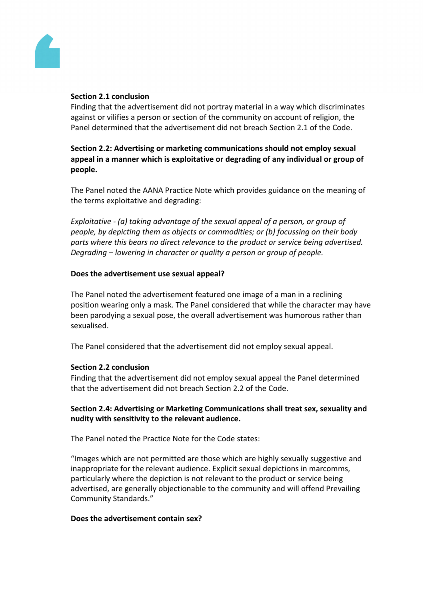

#### **Section 2.1 conclusion**

Finding that the advertisement did not portray material in a way which discriminates against or vilifies a person or section of the community on account of religion, the Panel determined that the advertisement did not breach Section 2.1 of the Code.

**Section 2.2: Advertising or marketing communications should not employ sexual appeal in a manner which is exploitative or degrading of any individual or group of people.**

The Panel noted the AANA Practice Note which provides guidance on the meaning of the terms exploitative and degrading:

*Exploitative - (a) taking advantage of the sexual appeal of a person, or group of people, by depicting them as objects or commodities; or (b) focussing on their body parts where this bears no direct relevance to the product or service being advertised. Degrading – lowering in character or quality a person or group of people.*

#### **Does the advertisement use sexual appeal?**

The Panel noted the advertisement featured one image of a man in a reclining position wearing only a mask. The Panel considered that while the character may have been parodying a sexual pose, the overall advertisement was humorous rather than sexualised.

The Panel considered that the advertisement did not employ sexual appeal.

#### **Section 2.2 conclusion**

Finding that the advertisement did not employ sexual appeal the Panel determined that the advertisement did not breach Section 2.2 of the Code.

#### **Section 2.4: Advertising or Marketing Communications shall treat sex, sexuality and nudity with sensitivity to the relevant audience.**

The Panel noted the Practice Note for the Code states:

"Images which are not permitted are those which are highly sexually suggestive and inappropriate for the relevant audience. Explicit sexual depictions in marcomms, particularly where the depiction is not relevant to the product or service being advertised, are generally objectionable to the community and will offend Prevailing Community Standards."

#### **Does the advertisement contain sex?**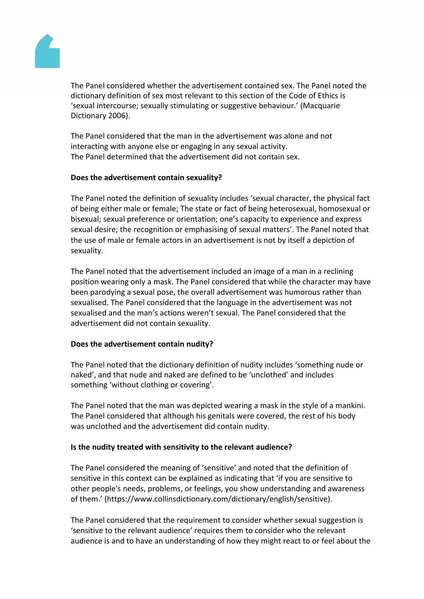

The Panel considered whether the advertisement contained sex. The Panel noted the dictionary definition of sex most relevant to this section of the Code of Ethics is 'sexual intercourse; sexually stimulating or suggestive behaviour.' (Macquarie Dictionary 2006).

The Panel considered that the man in the advertisement was alone and not interacting with anyone else or engaging in any sexual activity. The Panel determined that the advertisement did not contain sex.

#### **Does the advertisement contain sexuality?**

The Panel noted the definition of sexuality includes 'sexual character, the physical fact of being either male or female; The state or fact of being heterosexual, homosexual or bisexual; sexual preference or orientation; one's capacity to experience and express sexual desire; the recognition or emphasising of sexual matters'. The Panel noted that the use of male or female actors in an advertisement is not by itself a depiction of sexuality.

The Panel noted that the advertisement included an image of a man in a reclining position wearing only a mask. The Panel considered that while the character may have been parodying a sexual pose, the overall advertisement was humorous rather than sexualised. The Panel considered that the language in the advertisement was not sexualised and the man's actions weren't sexual. The Panel considered that the advertisement did not contain sexuality.

#### **Does the advertisement contain nudity?**

The Panel noted that the dictionary definition of nudity includes 'something nude or naked', and that nude and naked are defined to be 'unclothed' and includes something 'without clothing or covering'.

The Panel noted that the man was depicted wearing a mask in the style of a mankini. The Panel considered that although his genitals were covered, the rest of his body was unclothed and the advertisement did contain nudity.

#### **Is the nudity treated with sensitivity to the relevant audience?**

The Panel considered the meaning of 'sensitive' and noted that the definition of sensitive in this context can be explained as indicating that 'if you are sensitive to other people's needs, problems, or feelings, you show understanding and awareness of them.' (https://www.collinsdictionary.com/dictionary/english/sensitive).

The Panel considered that the requirement to consider whether sexual suggestion is 'sensitive to the relevant audience' requires them to consider who the relevant audience is and to have an understanding of how they might react to or feel about the